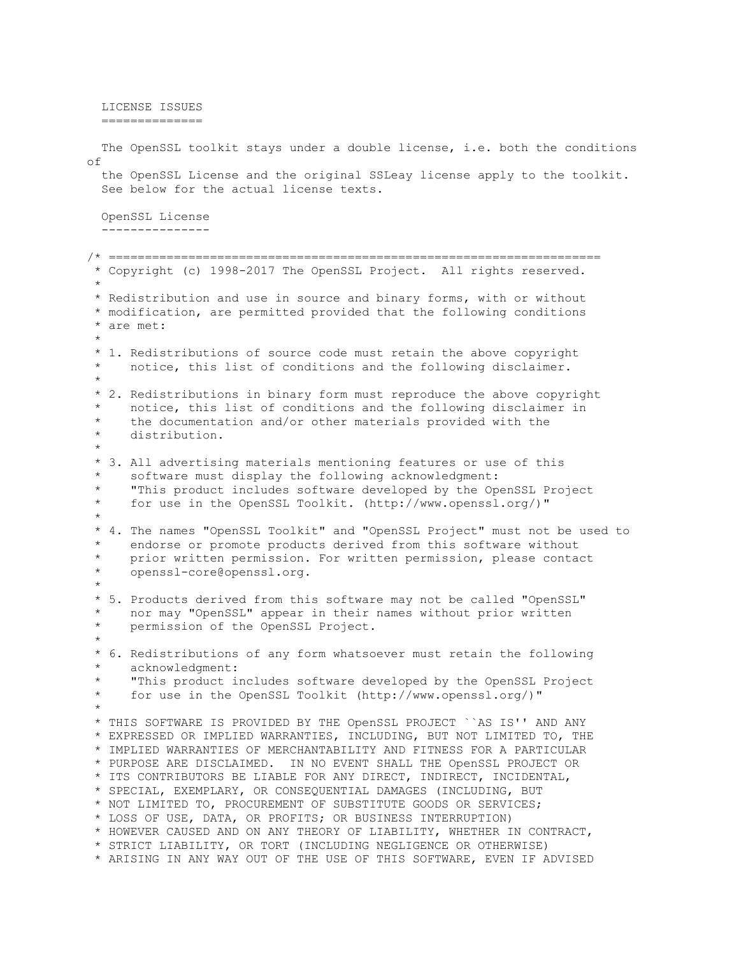LICENSE ISSUES ============== The OpenSSL toolkit stays under a double license, i.e. both the conditions of the OpenSSL License and the original SSLeay license apply to the toolkit. See below for the actual license texts. OpenSSL License --------------- /\* ==================================================================== \* Copyright (c) 1998-2017 The OpenSSL Project. All rights reserved. \* \* Redistribution and use in source and binary forms, with or without \* modification, are permitted provided that the following conditions \* are met: \* \* 1. Redistributions of source code must retain the above copyright notice, this list of conditions and the following disclaimer. \* \* 2. Redistributions in binary form must reproduce the above copyright notice, this list of conditions and the following disclaimer in the documentation and/or other materials provided with the distribution. \* \* 3. All advertising materials mentioning features or use of this software must display the following acknowledgment: \* "This product includes software developed by the OpenSSL Project for use in the OpenSSL Toolkit. (http://www.openssl.org/)" \* \* 4. The names "OpenSSL Toolkit" and "OpenSSL Project" must not be used to endorse or promote products derived from this software without prior written permission. For written permission, please contact openssl-core@openssl.org. \* \* 5. Products derived from this software may not be called "OpenSSL" nor may "OpenSSL" appear in their names without prior written permission of the OpenSSL Project. \* \* 6. Redistributions of any form whatsoever must retain the following acknowledgment: \* "This product includes software developed by the OpenSSL Project for use in the OpenSSL Toolkit (http://www.openssl.org/)" \* \* THIS SOFTWARE IS PROVIDED BY THE OpenSSL PROJECT ``AS IS'' AND ANY \* EXPRESSED OR IMPLIED WARRANTIES, INCLUDING, BUT NOT LIMITED TO, THE \* IMPLIED WARRANTIES OF MERCHANTABILITY AND FITNESS FOR A PARTICULAR \* PURPOSE ARE DISCLAIMED. IN NO EVENT SHALL THE OpenSSL PROJECT OR \* ITS CONTRIBUTORS BE LIABLE FOR ANY DIRECT, INDIRECT, INCIDENTAL, \* SPECIAL, EXEMPLARY, OR CONSEQUENTIAL DAMAGES (INCLUDING, BUT \* NOT LIMITED TO, PROCUREMENT OF SUBSTITUTE GOODS OR SERVICES; \* LOSS OF USE, DATA, OR PROFITS; OR BUSINESS INTERRUPTION) \* HOWEVER CAUSED AND ON ANY THEORY OF LIABILITY, WHETHER IN CONTRACT, \* STRICT LIABILITY, OR TORT (INCLUDING NEGLIGENCE OR OTHERWISE) \* ARISING IN ANY WAY OUT OF THE USE OF THIS SOFTWARE, EVEN IF ADVISED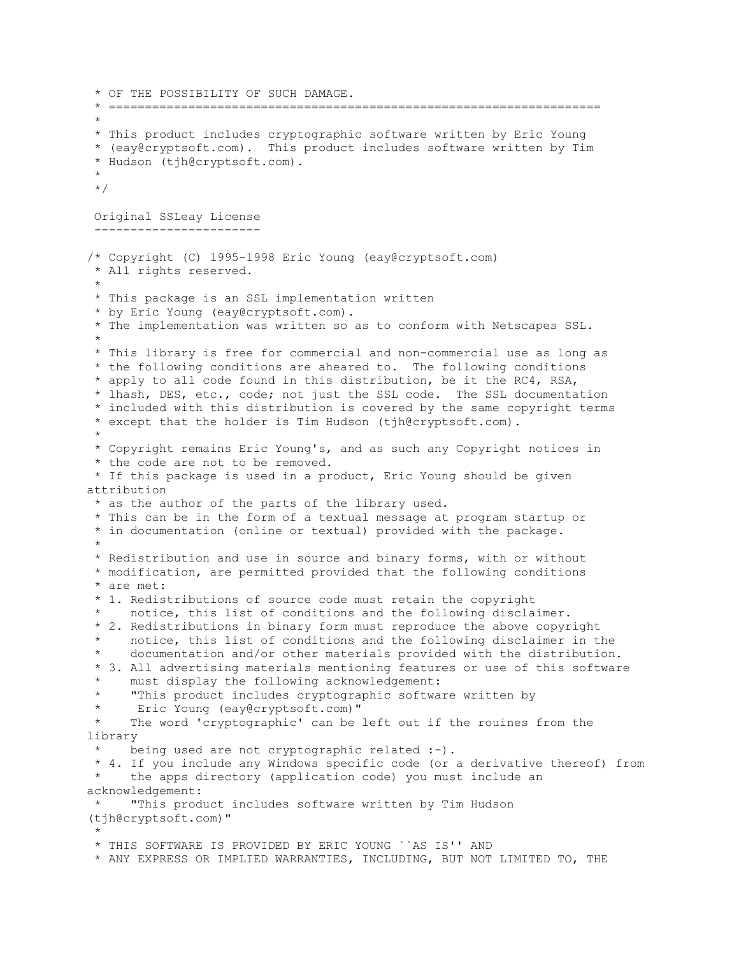```
* OF THE POSSIBILITY OF SUCH DAMAGE.
 * ====================================================================
 *
 * This product includes cryptographic software written by Eric Young
 * (eay@cryptsoft.com). This product includes software written by Tim
 * Hudson (tjh@cryptsoft.com).
 *
 */
 Original SSLeay License
 -----------------------
/* Copyright (C) 1995-1998 Eric Young (eay@cryptsoft.com)
 * All rights reserved.
 *
* This package is an SSL implementation written
 * by Eric Young (eay@cryptsoft.com).
 * The implementation was written so as to conform with Netscapes SSL.
 * 
* This library is free for commercial and non-commercial use as long as
 * the following conditions are aheared to. The following conditions
 * apply to all code found in this distribution, be it the RC4, RSA,
 * lhash, DES, etc., code; not just the SSL code. The SSL documentation
 * included with this distribution is covered by the same copyright terms
 * except that the holder is Tim Hudson (tjh@cryptsoft.com).
 * 
 * Copyright remains Eric Young's, and as such any Copyright notices in
 * the code are not to be removed.
 * If this package is used in a product, Eric Young should be given 
attribution
 * as the author of the parts of the library used.
 * This can be in the form of a textual message at program startup or
 * in documentation (online or textual) provided with the package.
 * 
 * Redistribution and use in source and binary forms, with or without
 * modification, are permitted provided that the following conditions
 * are met:
 * 1. Redistributions of source code must retain the copyright
     notice, this list of conditions and the following disclaimer.
 * 2. Redistributions in binary form must reproduce the above copyright
     notice, this list of conditions and the following disclaimer in the
     documentation and/or other materials provided with the distribution.
 * 3. All advertising materials mentioning features or use of this software
      must display the following acknowledgement:
      "This product includes cryptographic software written by
      Eric Young (eay@cryptsoft.com)"
     The word 'cryptographic' can be left out if the rouines from the
library
     being used are not cryptographic related :-).
 * 4. If you include any Windows specific code (or a derivative thereof) from 
     the apps directory (application code) you must include an
acknowledgement:
 * "This product includes software written by Tim Hudson 
(tjh@cryptsoft.com)"
 * 
 * THIS SOFTWARE IS PROVIDED BY ERIC YOUNG ``AS IS'' AND
 * ANY EXPRESS OR IMPLIED WARRANTIES, INCLUDING, BUT NOT LIMITED TO, THE
```